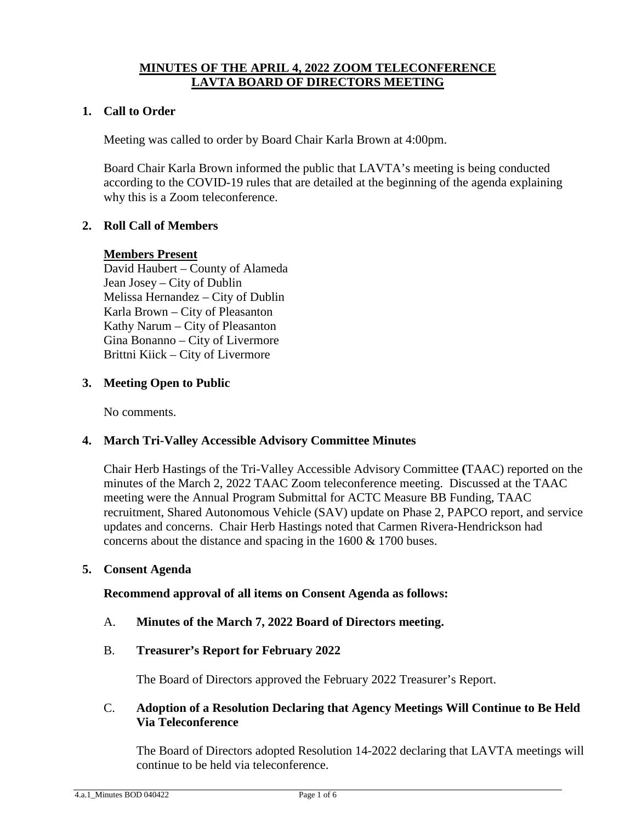## **MINUTES OF THE APRIL 4, 2022 ZOOM TELECONFERENCE LAVTA BOARD OF DIRECTORS MEETING**

#### **1. Call to Order**

Meeting was called to order by Board Chair Karla Brown at 4:00pm.

Board Chair Karla Brown informed the public that LAVTA's meeting is being conducted according to the COVID-19 rules that are detailed at the beginning of the agenda explaining why this is a Zoom teleconference.

### **2. Roll Call of Members**

#### **Members Present**

David Haubert – County of Alameda Jean Josey – City of Dublin Melissa Hernandez – City of Dublin Karla Brown – City of Pleasanton Kathy Narum – City of Pleasanton Gina Bonanno – City of Livermore Brittni Kiick – City of Livermore

### **3. Meeting Open to Public**

No comments.

#### **4. March Tri-Valley Accessible Advisory Committee Minutes**

Chair Herb Hastings of the Tri-Valley Accessible Advisory Committee **(**TAAC) reported on the minutes of the March 2, 2022 TAAC Zoom teleconference meeting. Discussed at the TAAC meeting were the Annual Program Submittal for ACTC Measure BB Funding, TAAC recruitment, Shared Autonomous Vehicle (SAV) update on Phase 2, PAPCO report, and service updates and concerns. Chair Herb Hastings noted that Carmen Rivera-Hendrickson had concerns about the distance and spacing in the 1600 & 1700 buses.

#### **5. Consent Agenda**

#### **Recommend approval of all items on Consent Agenda as follows:**

A. **Minutes of the March 7, 2022 Board of Directors meeting.**

## B. **Treasurer's Report for February 2022**

The Board of Directors approved the February 2022 Treasurer's Report.

### C. **Adoption of a Resolution Declaring that Agency Meetings Will Continue to Be Held Via Teleconference**

The Board of Directors adopted Resolution 14-2022 declaring that LAVTA meetings will continue to be held via teleconference.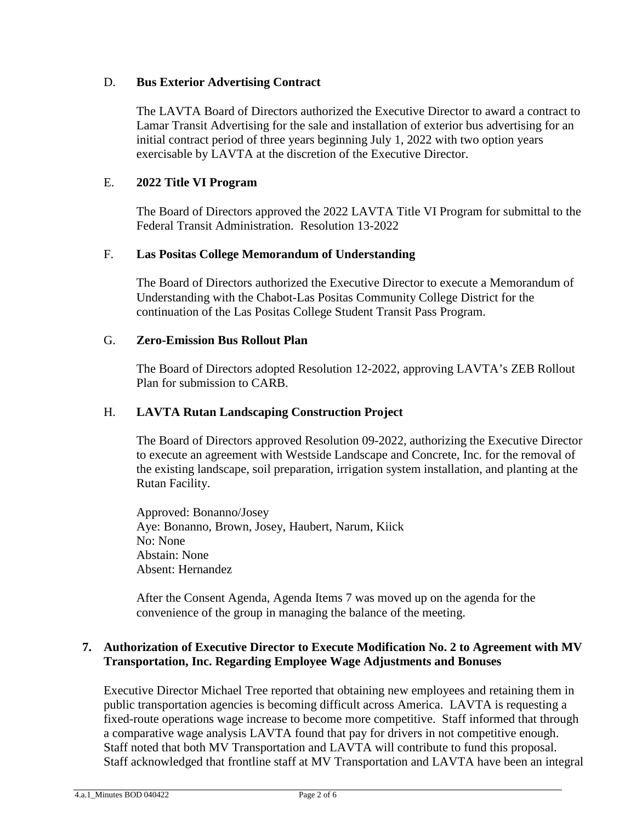## D. **Bus Exterior Advertising Contract**

The LAVTA Board of Directors authorized the Executive Director to award a contract to Lamar Transit Advertising for the sale and installation of exterior bus advertising for an initial contract period of three years beginning July 1, 2022 with two option years exercisable by LAVTA at the discretion of the Executive Director.

## E. **2022 Title VI Program**

The Board of Directors approved the 2022 LAVTA Title VI Program for submittal to the Federal Transit Administration. Resolution 13-2022

## F. **Las Positas College Memorandum of Understanding**

The Board of Directors authorized the Executive Director to execute a Memorandum of Understanding with the Chabot-Las Positas Community College District for the continuation of the Las Positas College Student Transit Pass Program.

## G. **Zero-Emission Bus Rollout Plan**

The Board of Directors adopted Resolution 12-2022, approving LAVTA's ZEB Rollout Plan for submission to CARB.

## H. **LAVTA Rutan Landscaping Construction Project**

The Board of Directors approved Resolution 09-2022, authorizing the Executive Director to execute an agreement with Westside Landscape and Concrete, Inc. for the removal of the existing landscape, soil preparation, irrigation system installation, and planting at the Rutan Facility.

Approved: Bonanno/Josey Aye: Bonanno, Brown, Josey, Haubert, Narum, Kiick No: None Abstain: None Absent: Hernandez

After the Consent Agenda, Agenda Items 7 was moved up on the agenda for the convenience of the group in managing the balance of the meeting.

### **7. Authorization of Executive Director to Execute Modification No. 2 to Agreement with MV Transportation, Inc. Regarding Employee Wage Adjustments and Bonuses**

Executive Director Michael Tree reported that obtaining new employees and retaining them in public transportation agencies is becoming difficult across America. LAVTA is requesting a fixed-route operations wage increase to become more competitive. Staff informed that through a comparative wage analysis LAVTA found that pay for drivers in not competitive enough. Staff noted that both MV Transportation and LAVTA will contribute to fund this proposal. Staff acknowledged that frontline staff at MV Transportation and LAVTA have been an integral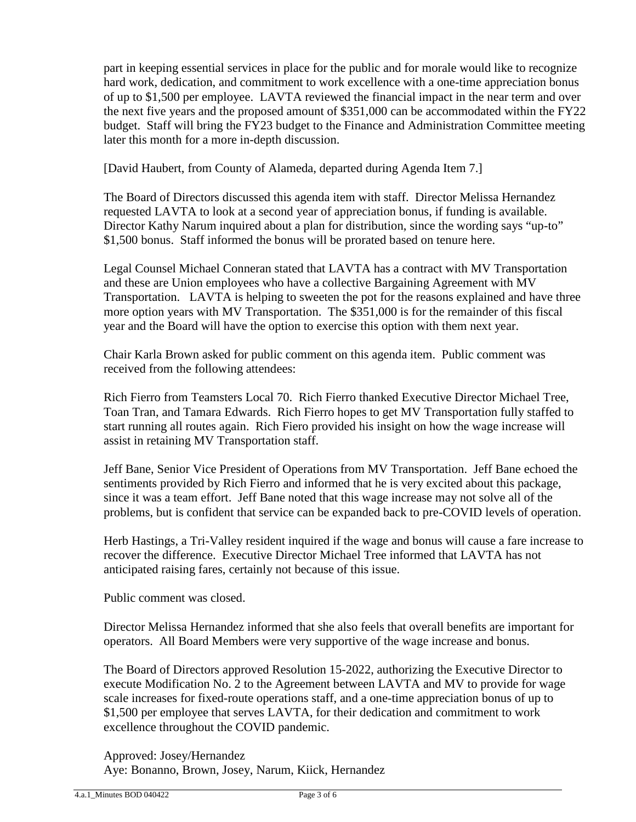part in keeping essential services in place for the public and for morale would like to recognize hard work, dedication, and commitment to work excellence with a one-time appreciation bonus of up to \$1,500 per employee. LAVTA reviewed the financial impact in the near term and over the next five years and the proposed amount of \$351,000 can be accommodated within the FY22 budget. Staff will bring the FY23 budget to the Finance and Administration Committee meeting later this month for a more in-depth discussion.

[David Haubert, from County of Alameda, departed during Agenda Item 7.]

The Board of Directors discussed this agenda item with staff. Director Melissa Hernandez requested LAVTA to look at a second year of appreciation bonus, if funding is available. Director Kathy Narum inquired about a plan for distribution, since the wording says "up-to" \$1,500 bonus. Staff informed the bonus will be prorated based on tenure here.

Legal Counsel Michael Conneran stated that LAVTA has a contract with MV Transportation and these are Union employees who have a collective Bargaining Agreement with MV Transportation. LAVTA is helping to sweeten the pot for the reasons explained and have three more option years with MV Transportation. The \$351,000 is for the remainder of this fiscal year and the Board will have the option to exercise this option with them next year.

Chair Karla Brown asked for public comment on this agenda item. Public comment was received from the following attendees:

Rich Fierro from Teamsters Local 70. Rich Fierro thanked Executive Director Michael Tree, Toan Tran, and Tamara Edwards. Rich Fierro hopes to get MV Transportation fully staffed to start running all routes again. Rich Fiero provided his insight on how the wage increase will assist in retaining MV Transportation staff.

Jeff Bane, Senior Vice President of Operations from MV Transportation. Jeff Bane echoed the sentiments provided by Rich Fierro and informed that he is very excited about this package, since it was a team effort. Jeff Bane noted that this wage increase may not solve all of the problems, but is confident that service can be expanded back to pre-COVID levels of operation.

Herb Hastings, a Tri-Valley resident inquired if the wage and bonus will cause a fare increase to recover the difference. Executive Director Michael Tree informed that LAVTA has not anticipated raising fares, certainly not because of this issue.

Public comment was closed.

Director Melissa Hernandez informed that she also feels that overall benefits are important for operators. All Board Members were very supportive of the wage increase and bonus.

The Board of Directors approved Resolution 15-2022, authorizing the Executive Director to execute Modification No. 2 to the Agreement between LAVTA and MV to provide for wage scale increases for fixed-route operations staff, and a one-time appreciation bonus of up to \$1,500 per employee that serves LAVTA, for their dedication and commitment to work excellence throughout the COVID pandemic.

Approved: Josey/Hernandez Aye: Bonanno, Brown, Josey, Narum, Kiick, Hernandez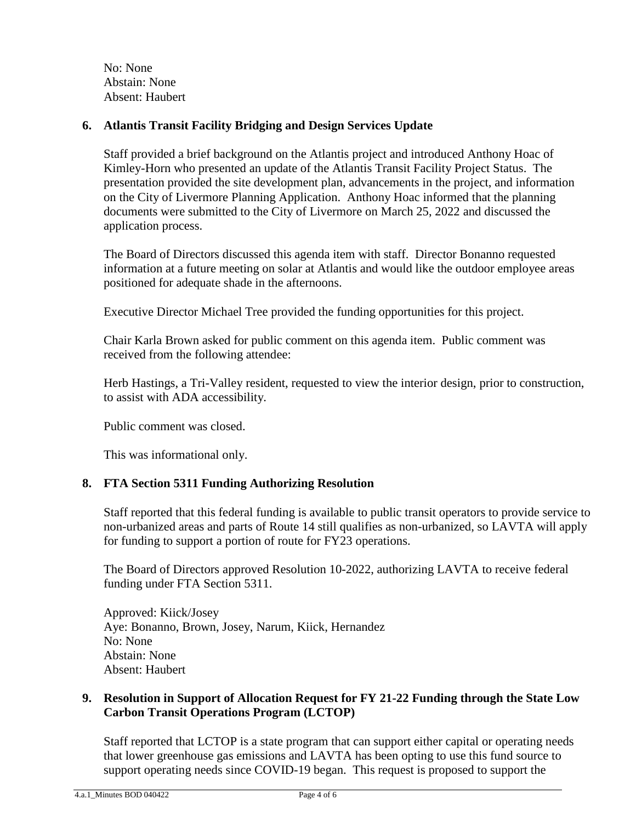No: None Abstain: None Absent: Haubert

## **6. Atlantis Transit Facility Bridging and Design Services Update**

Staff provided a brief background on the Atlantis project and introduced Anthony Hoac of Kimley-Horn who presented an update of the Atlantis Transit Facility Project Status. The presentation provided the site development plan, advancements in the project, and information on the City of Livermore Planning Application. Anthony Hoac informed that the planning documents were submitted to the City of Livermore on March 25, 2022 and discussed the application process.

The Board of Directors discussed this agenda item with staff. Director Bonanno requested information at a future meeting on solar at Atlantis and would like the outdoor employee areas positioned for adequate shade in the afternoons.

Executive Director Michael Tree provided the funding opportunities for this project.

Chair Karla Brown asked for public comment on this agenda item. Public comment was received from the following attendee:

Herb Hastings, a Tri-Valley resident, requested to view the interior design, prior to construction, to assist with ADA accessibility.

Public comment was closed.

This was informational only.

## **8. FTA Section 5311 Funding Authorizing Resolution**

Staff reported that this federal funding is available to public transit operators to provide service to non-urbanized areas and parts of Route 14 still qualifies as non-urbanized, so LAVTA will apply for funding to support a portion of route for FY23 operations.

The Board of Directors approved Resolution 10-2022, authorizing LAVTA to receive federal funding under FTA Section 5311.

Approved: Kiick/Josey Aye: Bonanno, Brown, Josey, Narum, Kiick, Hernandez No: None Abstain: None Absent: Haubert

### **9. Resolution in Support of Allocation Request for FY 21-22 Funding through the State Low Carbon Transit Operations Program (LCTOP)**

Staff reported that LCTOP is a state program that can support either capital or operating needs that lower greenhouse gas emissions and LAVTA has been opting to use this fund source to support operating needs since COVID-19 began. This request is proposed to support the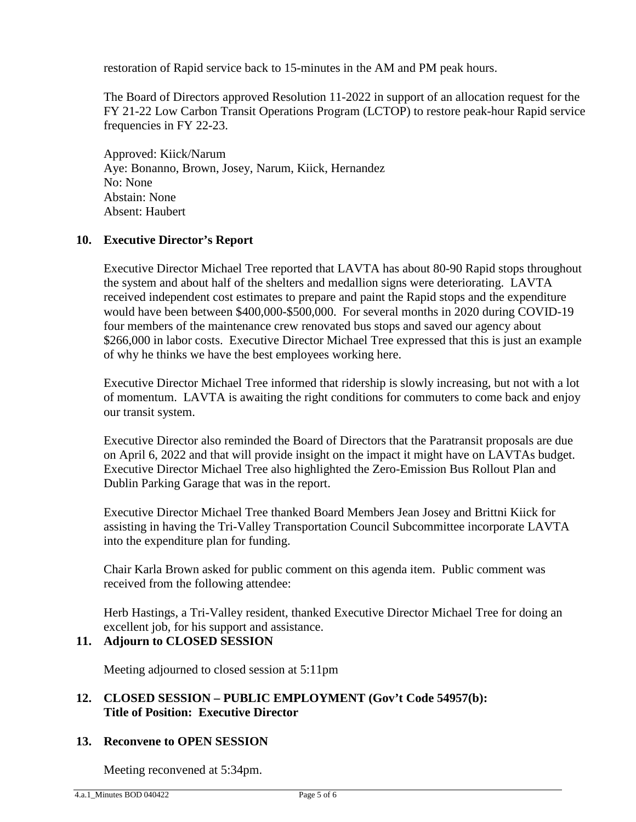restoration of Rapid service back to 15-minutes in the AM and PM peak hours.

The Board of Directors approved Resolution 11-2022 in support of an allocation request for the FY 21-22 Low Carbon Transit Operations Program (LCTOP) to restore peak-hour Rapid service frequencies in FY 22-23.

Approved: Kiick/Narum Aye: Bonanno, Brown, Josey, Narum, Kiick, Hernandez No: None Abstain: None Absent: Haubert

### **10. Executive Director's Report**

Executive Director Michael Tree reported that LAVTA has about 80-90 Rapid stops throughout the system and about half of the shelters and medallion signs were deteriorating. LAVTA received independent cost estimates to prepare and paint the Rapid stops and the expenditure would have been between \$400,000-\$500,000. For several months in 2020 during COVID-19 four members of the maintenance crew renovated bus stops and saved our agency about \$266,000 in labor costs. Executive Director Michael Tree expressed that this is just an example of why he thinks we have the best employees working here.

Executive Director Michael Tree informed that ridership is slowly increasing, but not with a lot of momentum. LAVTA is awaiting the right conditions for commuters to come back and enjoy our transit system.

Executive Director also reminded the Board of Directors that the Paratransit proposals are due on April 6, 2022 and that will provide insight on the impact it might have on LAVTAs budget. Executive Director Michael Tree also highlighted the Zero-Emission Bus Rollout Plan and Dublin Parking Garage that was in the report.

Executive Director Michael Tree thanked Board Members Jean Josey and Brittni Kiick for assisting in having the Tri-Valley Transportation Council Subcommittee incorporate LAVTA into the expenditure plan for funding.

Chair Karla Brown asked for public comment on this agenda item. Public comment was received from the following attendee:

Herb Hastings, a Tri-Valley resident, thanked Executive Director Michael Tree for doing an excellent job, for his support and assistance.

#### **11. Adjourn to CLOSED SESSION**

Meeting adjourned to closed session at 5:11pm

## **12. CLOSED SESSION – PUBLIC EMPLOYMENT (Gov't Code 54957(b): Title of Position: Executive Director**

## **13. Reconvene to OPEN SESSION**

Meeting reconvened at 5:34pm.